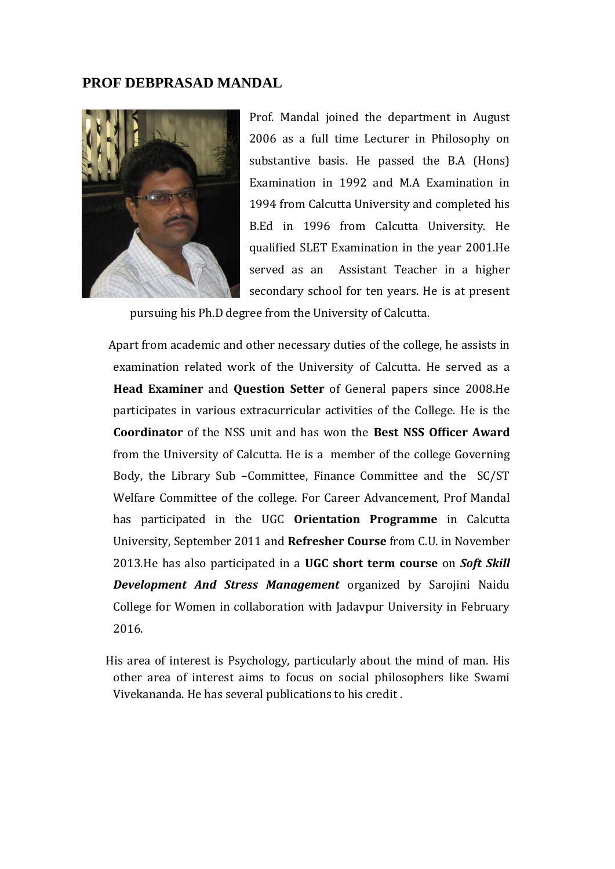## **PROF DEBPRASAD MANDAL**



Prof. Mandal joined the department in August 2006 as a full time Lecturer in Philosophy on substantive basis. He passed the B.A (Hons) Examination in 1992 and M.A Examination in 1994 from Calcutta University and completed his B.Ed in 1996 from Calcutta University. He qualified SLET Examination in the year 2001.He served as an Assistant Teacher in a higher secondary school for ten years. He is at present

pursuing his Ph.D degree from the University of Calcutta.

 Apart from academic and other necessary duties of the college, he assists in examination related work of the University of Calcutta. He served as a **Head Examiner** and **Question Setter** of General papers since 2008.He participates in various extracurricular activities of the College. He is the **Coordinator** of the NSS unit and has won the **Best NSS Officer Award** from the University of Calcutta. He is a member of the college Governing Body, the Library Sub –Committee, Finance Committee and the SC/ST Welfare Committee of the college. For Career Advancement, Prof Mandal has participated in the UGC **Orientation Programme** in Calcutta University, September 2011 and **Refresher Course** from C.U. in November 2013.He has also participated in a **UGC short term course** on *Soft Skill Development And Stress Management* organized by Sarojini Naidu College for Women in collaboration with Jadavpur University in February 2016.

 His area of interest is Psychology, particularly about the mind of man. His other area of interest aims to focus on social philosophers like Swami Vivekananda. He has several publications to his credit .